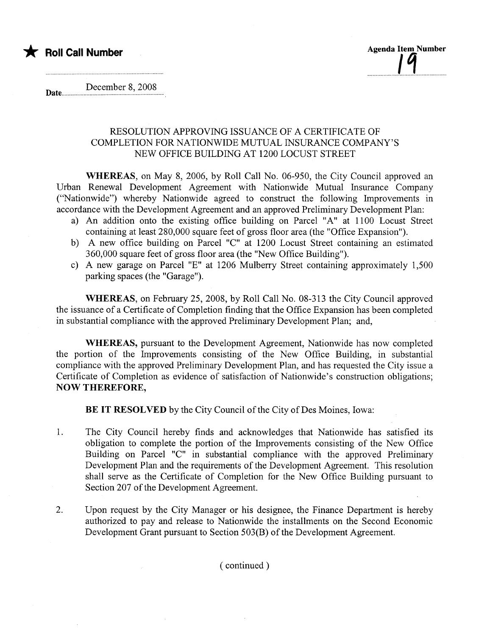

December 8, 2008 Date.......... ....... ..... ......................................... .............

## RESOLUTION APPROVING ISSUANCE OF A CERTIFICATE OF COMPLETION FOR NATIONWIDE MUTUAL INSURNCE COMPANY'S NEW OFFICE BUILDING AT 1200 LOCUST STREET

WHEREAS, on May 8, 2006, by Roll Call No. 06-950, the City Council approved an Urban Renewal Development Agreement with Nationwide Mutual Insurance Company ("Nationwide") whereby Nationwide agreed to construct the following Improvements in accordance with the Development Agreement and an approved Preliminary Development Plan:

- a) An addition onto the existing office building on Parcel "A" at 1100 Locust Street containing at least 280,000 square feet of gross floor area (the "Office Expansion").
- b) A new office building on Parcel "C" at 1200 Locust Street containing an estimated 360,000 square feet of gross floor area (the "New Offce Building").
- c) A new garage on Parcel "E" at 1206 Mulberry Street containing approximately 1,500 parking spaces (the "Garage").

WHEREAS, on February 25, 2008, by Roll Call No. 08-313 the City Council approved the issuance of a Certificate of Completion finding that the Office Expansion has been completed in substantial compliance with the approved Preliminary Development Plan; and,

WHEREAS, pursuant to the Development Agreement, Nationwide has now completed the portion of the Improvements consisting of the New Office Building, in substantial compliance with the approved Preliminary Development Plan, and has requested the City issue a Certificate of Completion as evidence of satisfaction of Nationwide's construction obligations; NOW THEREFORE,

BE IT RESOLVED by the City Council of the City of Des Moines, Iowa:

- 1. The City Council hereby finds and acknowledges that Nationwide has satisfied its obligation to complete the portion of the Improvements consisting of the New Office Building on Parcel "C" in substantial compliance with the approved Preliminary Development Plan and the requirements of the Development Agreement. This resolution shall serve as the Certificate of Completion for the New Office Building pursuant to Section 207 of the Development Agreement.
- 2. Upon request by the City Manager or his designee, the Finance Department is hereby authorized to pay and release to Nationwide the installments on the Second Economic Development Grant pursuant to Section 503(B) of the Development Agreement.

( continued)